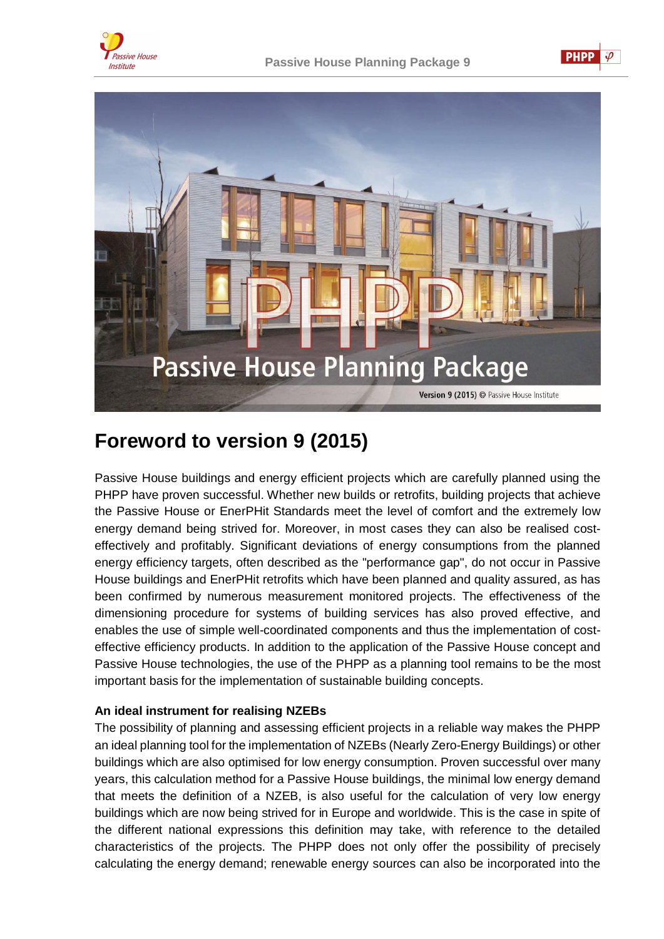





# **Foreword to version 9 (2015)**

Passive House buildings and energy efficient projects which are carefully planned using the PHPP have proven successful. Whether new builds or retrofits, building projects that achieve the Passive House or EnerPHit Standards meet the level of comfort and the extremely low energy demand being strived for. Moreover, in most cases they can also be realised costeffectively and profitably. Significant deviations of energy consumptions from the planned energy efficiency targets, often described as the "performance gap", do not occur in Passive House buildings and EnerPHit retrofits which have been planned and quality assured, as has been confirmed by numerous measurement monitored projects. The effectiveness of the dimensioning procedure for systems of building services has also proved effective, and enables the use of simple well-coordinated components and thus the implementation of costeffective efficiency products. In addition to the application of the Passive House concept and Passive House technologies, the use of the PHPP as a planning tool remains to be the most important basis for the implementation of sustainable building concepts.

# **An ideal instrument for realising NZEBs**

The possibility of planning and assessing efficient projects in a reliable way makes the PHPP an ideal planning tool for the implementation of NZEBs (Nearly Zero-Energy Buildings) or other buildings which are also optimised for low energy consumption. Proven successful over many years, this calculation method for a Passive House buildings, the minimal low energy demand that meets the definition of a NZEB, is also useful for the calculation of very low energy buildings which are now being strived for in Europe and worldwide. This is the case in spite of the different national expressions this definition may take, with reference to the detailed characteristics of the projects. The PHPP does not only offer the possibility of precisely calculating the energy demand; renewable energy sources can also be incorporated into the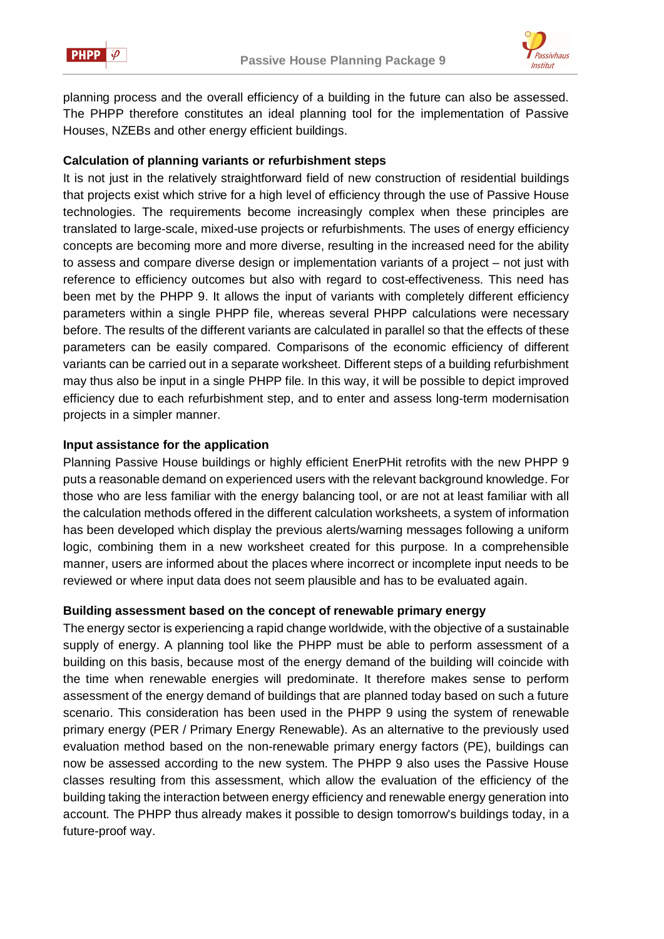



planning process and the overall efficiency of a building in the future can also be assessed. The PHPP therefore constitutes an ideal planning tool for the implementation of Passive Houses, NZEBs and other energy efficient buildings.

## **Calculation of planning variants or refurbishment steps**

It is not just in the relatively straightforward field of new construction of residential buildings that projects exist which strive for a high level of efficiency through the use of Passive House technologies. The requirements become increasingly complex when these principles are translated to large-scale, mixed-use projects or refurbishments. The uses of energy efficiency concepts are becoming more and more diverse, resulting in the increased need for the ability to assess and compare diverse design or implementation variants of a project – not just with reference to efficiency outcomes but also with regard to cost-effectiveness. This need has been met by the PHPP 9. It allows the input of variants with completely different efficiency parameters within a single PHPP file, whereas several PHPP calculations were necessary before. The results of the different variants are calculated in parallel so that the effects of these parameters can be easily compared. Comparisons of the economic efficiency of different variants can be carried out in a separate worksheet. Different steps of a building refurbishment may thus also be input in a single PHPP file. In this way, it will be possible to depict improved efficiency due to each refurbishment step, and to enter and assess long-term modernisation projects in a simpler manner.

#### **Input assistance for the application**

Planning Passive House buildings or highly efficient EnerPHit retrofits with the new PHPP 9 puts a reasonable demand on experienced users with the relevant background knowledge. For those who are less familiar with the energy balancing tool, or are not at least familiar with all the calculation methods offered in the different calculation worksheets, a system of information has been developed which display the previous alerts/warning messages following a uniform logic, combining them in a new worksheet created for this purpose. In a comprehensible manner, users are informed about the places where incorrect or incomplete input needs to be reviewed or where input data does not seem plausible and has to be evaluated again.

## **Building assessment based on the concept of renewable primary energy**

The energy sector is experiencing a rapid change worldwide, with the objective of a sustainable supply of energy. A planning tool like the PHPP must be able to perform assessment of a building on this basis, because most of the energy demand of the building will coincide with the time when renewable energies will predominate. It therefore makes sense to perform assessment of the energy demand of buildings that are planned today based on such a future scenario. This consideration has been used in the PHPP 9 using the system of renewable primary energy (PER / Primary Energy Renewable). As an alternative to the previously used evaluation method based on the non-renewable primary energy factors (PE), buildings can now be assessed according to the new system. The PHPP 9 also uses the Passive House classes resulting from this assessment, which allow the evaluation of the efficiency of the building taking the interaction between energy efficiency and renewable energy generation into account. The PHPP thus already makes it possible to design tomorrow's buildings today, in a future-proof way.